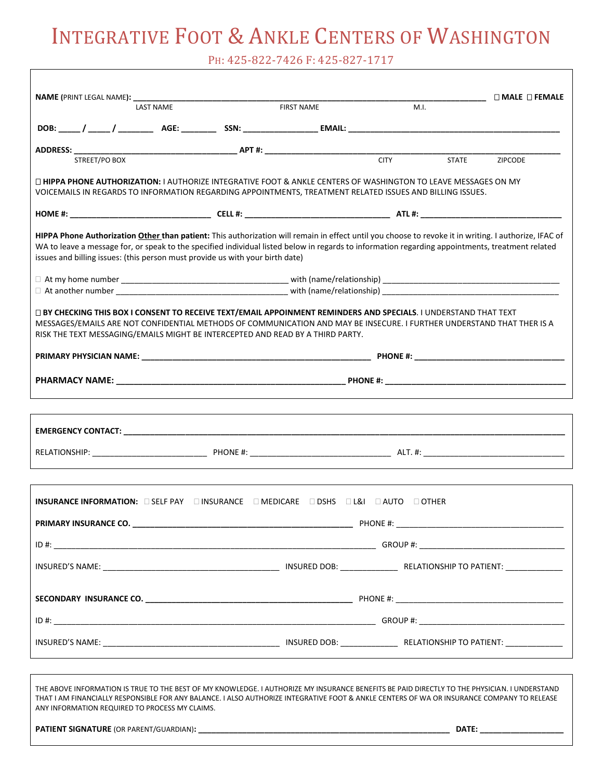PH: 425-822-7426 F: 425-827-1717

|                                                                                                                                                                                                                                                                                                                                                                                            |                  |  |                                                                                                                  |             |              | $\square$ MALE $\square$ FEMALE |
|--------------------------------------------------------------------------------------------------------------------------------------------------------------------------------------------------------------------------------------------------------------------------------------------------------------------------------------------------------------------------------------------|------------------|--|------------------------------------------------------------------------------------------------------------------|-------------|--------------|---------------------------------|
|                                                                                                                                                                                                                                                                                                                                                                                            | <b>LAST NAME</b> |  | <b>FIRST NAME</b>                                                                                                | M.I.        |              |                                 |
|                                                                                                                                                                                                                                                                                                                                                                                            |                  |  |                                                                                                                  |             |              |                                 |
|                                                                                                                                                                                                                                                                                                                                                                                            |                  |  |                                                                                                                  |             |              |                                 |
| STREET/PO BOX                                                                                                                                                                                                                                                                                                                                                                              |                  |  |                                                                                                                  | <b>CITY</b> | <b>STATE</b> | <b>ZIPCODE</b>                  |
| □ HIPPA PHONE AUTHORIZATION: I AUTHORIZE INTEGRATIVE FOOT & ANKLE CENTERS OF WASHINGTON TO LEAVE MESSAGES ON MY<br>VOICEMAILS IN REGARDS TO INFORMATION REGARDING APPOINTMENTS, TREATMENT RELATED ISSUES AND BILLING ISSUES.                                                                                                                                                               |                  |  |                                                                                                                  |             |              |                                 |
|                                                                                                                                                                                                                                                                                                                                                                                            |                  |  |                                                                                                                  |             |              |                                 |
| HIPPA Phone Authorization Other than patient: This authorization will remain in effect until you choose to revoke it in writing. I authorize, IFAC of<br>WA to leave a message for, or speak to the specified individual listed below in regards to information regarding appointments, treatment related<br>issues and billing issues: (this person must provide us with your birth date) |                  |  |                                                                                                                  |             |              |                                 |
|                                                                                                                                                                                                                                                                                                                                                                                            |                  |  |                                                                                                                  |             |              |                                 |
|                                                                                                                                                                                                                                                                                                                                                                                            |                  |  |                                                                                                                  |             |              |                                 |
| □ BY CHECKING THIS BOX I CONSENT TO RECEIVE TEXT/EMAIL APPOINMENT REMINDERS AND SPECIALS. I UNDERSTAND THAT TEXT<br>MESSAGES/EMAILS ARE NOT CONFIDENTIAL METHODS OF COMMUNICATION AND MAY BE INSECURE. I FURTHER UNDERSTAND THAT THER IS A<br>RISK THE TEXT MESSAGING/EMAILS MIGHT BE INTERCEPTED AND READ BY A THIRD PARTY.                                                               |                  |  |                                                                                                                  |             |              |                                 |
|                                                                                                                                                                                                                                                                                                                                                                                            |                  |  |                                                                                                                  |             |              |                                 |
|                                                                                                                                                                                                                                                                                                                                                                                            |                  |  |                                                                                                                  |             |              |                                 |
|                                                                                                                                                                                                                                                                                                                                                                                            |                  |  |                                                                                                                  |             |              |                                 |
|                                                                                                                                                                                                                                                                                                                                                                                            |                  |  |                                                                                                                  |             |              |                                 |
|                                                                                                                                                                                                                                                                                                                                                                                            |                  |  |                                                                                                                  |             |              |                                 |
|                                                                                                                                                                                                                                                                                                                                                                                            |                  |  |                                                                                                                  |             |              |                                 |
| INSURANCE INFORMATION: CSELF PAY CHINSURANCE CHEDICARE CIDSHS CL&I CHUTO COTHER                                                                                                                                                                                                                                                                                                            |                  |  |                                                                                                                  |             |              |                                 |
| PRIMARY INSURANCE CO.                                                                                                                                                                                                                                                                                                                                                                      |                  |  |                                                                                                                  |             |              |                                 |
|                                                                                                                                                                                                                                                                                                                                                                                            |                  |  |                                                                                                                  |             |              |                                 |
|                                                                                                                                                                                                                                                                                                                                                                                            |                  |  |                                                                                                                  |             |              |                                 |
|                                                                                                                                                                                                                                                                                                                                                                                            |                  |  |                                                                                                                  |             |              |                                 |
|                                                                                                                                                                                                                                                                                                                                                                                            |                  |  |                                                                                                                  |             |              |                                 |
|                                                                                                                                                                                                                                                                                                                                                                                            |                  |  |                                                                                                                  |             |              |                                 |
|                                                                                                                                                                                                                                                                                                                                                                                            |                  |  |                                                                                                                  |             |              |                                 |
|                                                                                                                                                                                                                                                                                                                                                                                            |                  |  |                                                                                                                  |             |              |                                 |
| THE ABOVE INFORMATION IS TRUE TO THE BEST OF MY KNOWLEDGE. I AUTHORIZE MY INSURANCE BENEFITS BE PAID DIRECTLY TO THE PHYSICIAN. I UNDERSTAND<br>THAT I AM FINANCIALLY RESPONSIBLE FOR ANY BALANCE. I ALSO AUTHORIZE INTEGRATIVE FOOT & ANKLE CENTERS OF WA OR INSURANCE COMPANY TO RELEASE<br>ANY INFORMATION REQUIRED TO PROCESS MY CLAIMS.                                               |                  |  |                                                                                                                  |             |              |                                 |
|                                                                                                                                                                                                                                                                                                                                                                                            |                  |  |                                                                                                                  |             |              |                                 |
|                                                                                                                                                                                                                                                                                                                                                                                            |                  |  | and the control of the control of the control of the control of the control of the control of the control of the |             |              |                                 |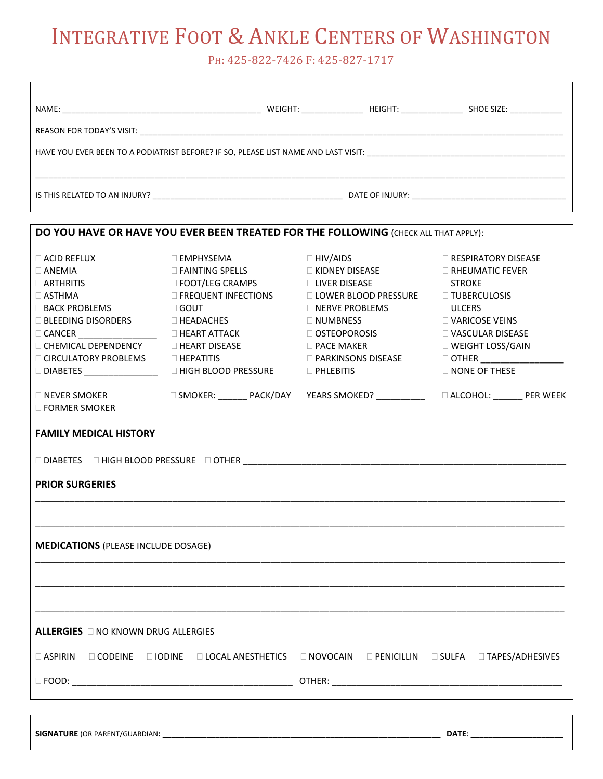PH: 425-822-7426 F: 425-827-1717

| NAME: | WEIGHT: WEIGHT: | HEIGHT: The contract of the contract of the contract of the contract of the contract of the contract of the contract of the contract of the contract of the contract of the contract of the contract of the contract of the co | SHOE SIZE: The state of the state of the state of the state of the state of the state of the state of the state of the state of the state of the state of the state of the state of the state of the state of the state of the |  |  |  |
|-------|-----------------|--------------------------------------------------------------------------------------------------------------------------------------------------------------------------------------------------------------------------------|--------------------------------------------------------------------------------------------------------------------------------------------------------------------------------------------------------------------------------|--|--|--|
|       |                 |                                                                                                                                                                                                                                |                                                                                                                                                                                                                                |  |  |  |
|       |                 |                                                                                                                                                                                                                                |                                                                                                                                                                                                                                |  |  |  |
|       |                 | DATE OF INJURY: <u>_____________________________</u>                                                                                                                                                                           |                                                                                                                                                                                                                                |  |  |  |

| DO YOU HAVE OR HAVE YOU EVER BEEN TREATED FOR THE FOLLOWING (CHECK ALL THAT APPLY):                                                                                                                                                                                                                                                                                                                                                                                                                   |                                                                                                    |                                       |                                                                                    |  |  |  |
|-------------------------------------------------------------------------------------------------------------------------------------------------------------------------------------------------------------------------------------------------------------------------------------------------------------------------------------------------------------------------------------------------------------------------------------------------------------------------------------------------------|----------------------------------------------------------------------------------------------------|---------------------------------------|------------------------------------------------------------------------------------|--|--|--|
| $\Box$ ACID REFLUX                                                                                                                                                                                                                                                                                                                                                                                                                                                                                    | $\Box$ EMPHYSEMA                                                                                   | $\Box$ HIV/AIDS                       | <b>E RESPIRATORY DISEASE</b>                                                       |  |  |  |
| $\Box$ ANEMIA                                                                                                                                                                                                                                                                                                                                                                                                                                                                                         | <b>EXAINTING SPELLS</b>                                                                            | □ KIDNEY DISEASE △ □ RHEUMATIC FEVER  |                                                                                    |  |  |  |
| $\Box$ ARTHRITIS                                                                                                                                                                                                                                                                                                                                                                                                                                                                                      | <b>DE FOOT/LEG CRAMPS</b>                                                                          | □ LIVER DISEASE △ △ △ △ STROKE        |                                                                                    |  |  |  |
| $\Box$ ASTHMA                                                                                                                                                                                                                                                                                                                                                                                                                                                                                         | <b>EXECUENT INFECTIONS</b>                                                                         | □ LOWER BLOOD PRESSURE □ TUBERCULOSIS |                                                                                    |  |  |  |
| □ BACK PROBLEMS □ GOUT                                                                                                                                                                                                                                                                                                                                                                                                                                                                                |                                                                                                    | $\Box$ NERVE PROBLEMS                 | <b>DULCERS</b>                                                                     |  |  |  |
| $\Box$ BLEEDING DISORDERS $\Box$ HEADACHES                                                                                                                                                                                                                                                                                                                                                                                                                                                            |                                                                                                    | $\Box$ NUMBNESS                       |                                                                                    |  |  |  |
| $\begin{tabular}{ c c c c c } \hline \texttt{CANCER}\hspace{0.08cm}\textbf{\underline{}}\hspace{0.08cm}\textbf{\underline{}}\hspace{0.08cm}\textbf{\underline{}}\hspace{0.08cm}\textbf{\underline{}}\hspace{0.08cm}\textbf{\underline{}}\hspace{0.08cm}\textbf{\underline{}}\hspace{0.08cm}\textbf{\underline{}}\hspace{0.08cm}\textbf{\underline{}}\hspace{0.08cm}\textbf{\underline{}}\hspace{0.08cm}\textbf{\underline{}}\hspace{0.08cm}\textbf{\underline{}}\hspace{0.08cm}\textbf{\underline{}}$ |                                                                                                    | OSTEOPOROSIS                          | ULLERS<br>□ VARICOSE VEINS<br>□ VASCUI AP T<br>□ VASCULAR DISEASE                  |  |  |  |
| $\Box$ CHEMICAL DEPENDENCY                                                                                                                                                                                                                                                                                                                                                                                                                                                                            | <b>HEART DISEASE</b>                                                                               | $\Box$ PACE MAKER                     | □ WEIGHT LOSS/GAIN                                                                 |  |  |  |
| □ CIRCULATORY PROBLEMS □ HEPATITIS                                                                                                                                                                                                                                                                                                                                                                                                                                                                    |                                                                                                    |                                       |                                                                                    |  |  |  |
|                                                                                                                                                                                                                                                                                                                                                                                                                                                                                                       | □ DIABETES ____________________  □ HIGH BLOOD PRESSURE                                             | $\Box$ PHLEBITIS                      | <b>NONE OF THESE</b>                                                               |  |  |  |
| $\Box$ NEVER SMOKER<br>$\Box$ FORMER SMOKER                                                                                                                                                                                                                                                                                                                                                                                                                                                           |                                                                                                    |                                       | □ SMOKER: _______ PACK/DAY YEARS SMOKED? ____________  □ ALCOHOL: _______ PER WEEK |  |  |  |
| <b>FAMILY MEDICAL HISTORY</b>                                                                                                                                                                                                                                                                                                                                                                                                                                                                         |                                                                                                    |                                       |                                                                                    |  |  |  |
|                                                                                                                                                                                                                                                                                                                                                                                                                                                                                                       |                                                                                                    |                                       |                                                                                    |  |  |  |
|                                                                                                                                                                                                                                                                                                                                                                                                                                                                                                       |                                                                                                    |                                       |                                                                                    |  |  |  |
| <b>PRIOR SURGERIES</b>                                                                                                                                                                                                                                                                                                                                                                                                                                                                                |                                                                                                    |                                       |                                                                                    |  |  |  |
|                                                                                                                                                                                                                                                                                                                                                                                                                                                                                                       |                                                                                                    |                                       |                                                                                    |  |  |  |
| <b>MEDICATIONS</b> (PLEASE INCLUDE DOSAGE)                                                                                                                                                                                                                                                                                                                                                                                                                                                            |                                                                                                    |                                       |                                                                                    |  |  |  |
|                                                                                                                                                                                                                                                                                                                                                                                                                                                                                                       |                                                                                                    |                                       |                                                                                    |  |  |  |
|                                                                                                                                                                                                                                                                                                                                                                                                                                                                                                       |                                                                                                    |                                       |                                                                                    |  |  |  |
| <b>ALLERGIES</b> ONO KNOWN DRUG ALLERGIES                                                                                                                                                                                                                                                                                                                                                                                                                                                             |                                                                                                    |                                       |                                                                                    |  |  |  |
|                                                                                                                                                                                                                                                                                                                                                                                                                                                                                                       | □ ASPIRIN □ CODEINE □ IODINE □ LOCAL ANESTHETICS □ NOVOCAIN □ PENICILLIN □ SULFA □ TAPES/ADHESIVES |                                       |                                                                                    |  |  |  |
|                                                                                                                                                                                                                                                                                                                                                                                                                                                                                                       |                                                                                                    |                                       |                                                                                    |  |  |  |
|                                                                                                                                                                                                                                                                                                                                                                                                                                                                                                       |                                                                                                    |                                       |                                                                                    |  |  |  |
|                                                                                                                                                                                                                                                                                                                                                                                                                                                                                                       |                                                                                                    |                                       |                                                                                    |  |  |  |

**SIGNATURE** (OR PARENT/GUARDIAN**:** \_\_\_\_\_\_\_\_\_\_\_\_\_\_\_\_\_\_\_\_\_\_\_\_\_\_\_\_\_\_\_\_\_\_\_\_\_\_\_\_\_\_\_\_\_\_\_\_\_\_\_\_\_\_\_\_\_\_\_\_\_\_\_ **DATE**: \_\_\_\_\_\_\_\_\_\_\_\_\_\_\_\_\_\_\_\_\_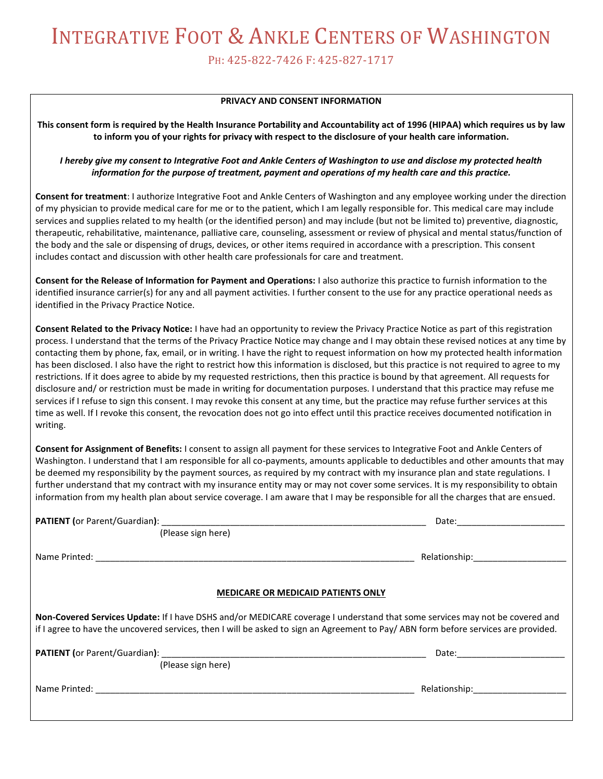PH: 425-822-7426 F: 425-827-1717

#### **PRIVACY AND CONSENT INFORMATION**

**This consent form is required by the Health Insurance Portability and Accountability act of 1996 (HIPAA) which requires us by law to inform you of your rights for privacy with respect to the disclosure of your health care information.**

*I hereby give my consent to Integrative Foot and Ankle Centers of Washington to use and disclose my protected health information for the purpose of treatment, payment and operations of my health care and this practice.*

**Consent for treatment**: I authorize Integrative Foot and Ankle Centers of Washington and any employee working under the direction of my physician to provide medical care for me or to the patient, which I am legally responsible for. This medical care may include services and supplies related to my health (or the identified person) and may include (but not be limited to) preventive, diagnostic, therapeutic, rehabilitative, maintenance, palliative care, counseling, assessment or review of physical and mental status/function of the body and the sale or dispensing of drugs, devices, or other items required in accordance with a prescription. This consent includes contact and discussion with other health care professionals for care and treatment.

**Consent for the Release of Information for Payment and Operations:** I also authorize this practice to furnish information to the identified insurance carrier(s) for any and all payment activities. I further consent to the use for any practice operational needs as identified in the Privacy Practice Notice.

**Consent Related to the Privacy Notice:** I have had an opportunity to review the Privacy Practice Notice as part of this registration process. I understand that the terms of the Privacy Practice Notice may change and I may obtain these revised notices at any time by contacting them by phone, fax, email, or in writing. I have the right to request information on how my protected health information has been disclosed. I also have the right to restrict how this information is disclosed, but this practice is not required to agree to my restrictions. If it does agree to abide by my requested restrictions, then this practice is bound by that agreement. All requests for disclosure and/ or restriction must be made in writing for documentation purposes. I understand that this practice may refuse me services if I refuse to sign this consent. I may revoke this consent at any time, but the practice may refuse further services at this time as well. If I revoke this consent, the revocation does not go into effect until this practice receives documented notification in writing.

**Consent for Assignment of Benefits:** I consent to assign all payment for these services to Integrative Foot and Ankle Centers of Washington. I understand that I am responsible for all co-payments, amounts applicable to deductibles and other amounts that may be deemed my responsibility by the payment sources, as required by my contract with my insurance plan and state regulations. I further understand that my contract with my insurance entity may or may not cover some services. It is my responsibility to obtain information from my health plan about service coverage. I am aware that I may be responsible for all the charges that are ensued.

|                                                                                                                                                                                                                                                                   | Date: the contract of the contract of the contract of the contract of the contract of the contract of the contract of the contract of the contract of the contract of the contract of the contract of the contract of the cont |  |  |  |  |
|-------------------------------------------------------------------------------------------------------------------------------------------------------------------------------------------------------------------------------------------------------------------|--------------------------------------------------------------------------------------------------------------------------------------------------------------------------------------------------------------------------------|--|--|--|--|
| (Please sign here)                                                                                                                                                                                                                                                |                                                                                                                                                                                                                                |  |  |  |  |
|                                                                                                                                                                                                                                                                   | Relationship: ____________                                                                                                                                                                                                     |  |  |  |  |
|                                                                                                                                                                                                                                                                   |                                                                                                                                                                                                                                |  |  |  |  |
| <b>MEDICARE OR MEDICAID PATIENTS ONLY</b>                                                                                                                                                                                                                         |                                                                                                                                                                                                                                |  |  |  |  |
| Non-Covered Services Update: If I have DSHS and/or MEDICARE coverage I understand that some services may not be covered and<br>if I agree to have the uncovered services, then I will be asked to sign an Agreement to Pay/ABN form before services are provided. |                                                                                                                                                                                                                                |  |  |  |  |
|                                                                                                                                                                                                                                                                   | Date: 2008                                                                                                                                                                                                                     |  |  |  |  |
| (Please sign here)                                                                                                                                                                                                                                                |                                                                                                                                                                                                                                |  |  |  |  |
|                                                                                                                                                                                                                                                                   | Relationship: The control of the control of the control of the control of the control of the control of the co                                                                                                                 |  |  |  |  |
|                                                                                                                                                                                                                                                                   |                                                                                                                                                                                                                                |  |  |  |  |